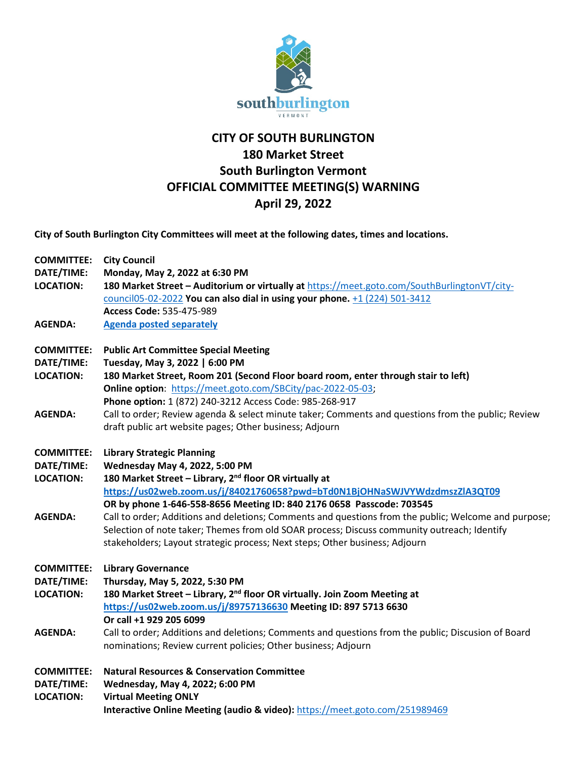

## **CITY OF SOUTH BURLINGTON 180 Market Street South Burlington Vermont OFFICIAL COMMITTEE MEETING(S) WARNING April 29, 2022**

**City of South Burlington City Committees will meet at the following dates, times and locations.** 

| <b>COMMITTEE:</b> | <b>City Council</b>                                                                                  |
|-------------------|------------------------------------------------------------------------------------------------------|
| DATE/TIME:        | Monday, May 2, 2022 at 6:30 PM                                                                       |
| <b>LOCATION:</b>  | 180 Market Street - Auditorium or virtually at https://meet.goto.com/SouthBurlingtonVT/city-         |
|                   | council05-02-2022 You can also dial in using your phone. +1 (224) 501-3412                           |
|                   | Access Code: 535-475-989                                                                             |
| <b>AGENDA:</b>    | <b>Agenda posted separately</b>                                                                      |
| <b>COMMITTEE:</b> | <b>Public Art Committee Special Meeting</b>                                                          |
| DATE/TIME:        | Tuesday, May 3, 2022   6:00 PM                                                                       |
| <b>LOCATION:</b>  | 180 Market Street, Room 201 (Second Floor board room, enter through stair to left)                   |
|                   | Online option: https://meet.goto.com/SBCity/pac-2022-05-03;                                          |
|                   | Phone option: 1 (872) 240-3212 Access Code: 985-268-917                                              |
| <b>AGENDA:</b>    | Call to order; Review agenda & select minute taker; Comments and questions from the public; Review   |
|                   | draft public art website pages; Other business; Adjourn                                              |
| <b>COMMITTEE:</b> | <b>Library Strategic Planning</b>                                                                    |
| DATE/TIME:        | Wednesday May 4, 2022, 5:00 PM                                                                       |
| <b>LOCATION:</b>  | 180 Market Street - Library, 2 <sup>nd</sup> floor OR virtually at                                   |
|                   | https://us02web.zoom.us/j/84021760658?pwd=bTd0N1BjOHNaSWJVYWdzdmszZIA3QT09                           |
|                   | OR by phone 1-646-558-8656 Meeting ID: 840 2176 0658 Passcode: 703545                                |
| <b>AGENDA:</b>    | Call to order; Additions and deletions; Comments and questions from the public; Welcome and purpose; |
|                   | Selection of note taker; Themes from old SOAR process; Discuss community outreach; Identify          |
|                   | stakeholders; Layout strategic process; Next steps; Other business; Adjourn                          |
| <b>COMMITTEE:</b> | <b>Library Governance</b>                                                                            |
| DATE/TIME:        | Thursday, May 5, 2022, 5:30 PM                                                                       |
| <b>LOCATION:</b>  | 180 Market Street - Library, 2 <sup>nd</sup> floor OR virtually. Join Zoom Meeting at                |
|                   | https://us02web.zoom.us/j/89757136630 Meeting ID: 897 5713 6630                                      |
|                   | Or call +1 929 205 6099                                                                              |
| <b>AGENDA:</b>    | Call to order; Additions and deletions; Comments and questions from the public; Discusion of Board   |
|                   | nominations; Review current policies; Other business; Adjourn                                        |
| <b>COMMITTEE:</b> | <b>Natural Resources &amp; Conservation Committee</b>                                                |
| DATE/TIME:        | Wednesday, May 4, 2022; 6:00 PM                                                                      |
| <b>LOCATION:</b>  | <b>Virtual Meeting ONLY</b>                                                                          |
|                   | Interactive Online Meeting (audio & video): https://meet.goto.com/251989469                          |